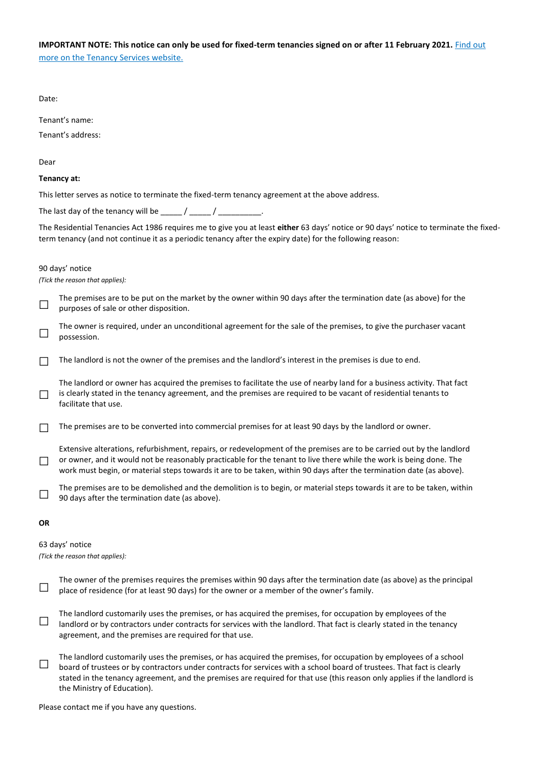|                                       | IMPORTANT NOTE: This notice can only be used for fixed-term tenancies signed on or after 11 February 2021. Find out |  |
|---------------------------------------|---------------------------------------------------------------------------------------------------------------------|--|
| more on the Tenancy Services website. |                                                                                                                     |  |

| Date:                                                                                                             |                                                                                                                                                                                                                                                                                                                                                                                                        |  |
|-------------------------------------------------------------------------------------------------------------------|--------------------------------------------------------------------------------------------------------------------------------------------------------------------------------------------------------------------------------------------------------------------------------------------------------------------------------------------------------------------------------------------------------|--|
|                                                                                                                   | Tenant's name:                                                                                                                                                                                                                                                                                                                                                                                         |  |
|                                                                                                                   | Tenant's address:                                                                                                                                                                                                                                                                                                                                                                                      |  |
| Dear                                                                                                              |                                                                                                                                                                                                                                                                                                                                                                                                        |  |
|                                                                                                                   | Tenancy at:                                                                                                                                                                                                                                                                                                                                                                                            |  |
|                                                                                                                   | This letter serves as notice to terminate the fixed-term tenancy agreement at the above address.                                                                                                                                                                                                                                                                                                       |  |
| The last day of the tenancy will be $\frac{1}{2}$ / $\frac{1}{2}$ / $\frac{1}{2}$ / $\frac{1}{2}$ / $\frac{1}{2}$ |                                                                                                                                                                                                                                                                                                                                                                                                        |  |
|                                                                                                                   | The Residential Tenancies Act 1986 requires me to give you at least either 63 days' notice or 90 days' notice to terminate the fixed-<br>term tenancy (and not continue it as a periodic tenancy after the expiry date) for the following reason:                                                                                                                                                      |  |
|                                                                                                                   | 90 days' notice<br>(Tick the reason that applies):                                                                                                                                                                                                                                                                                                                                                     |  |
| $\sqcup$                                                                                                          | The premises are to be put on the market by the owner within 90 days after the termination date (as above) for the<br>purposes of sale or other disposition.                                                                                                                                                                                                                                           |  |
|                                                                                                                   | The owner is required, under an unconditional agreement for the sale of the premises, to give the purchaser vacant<br>possession.                                                                                                                                                                                                                                                                      |  |
|                                                                                                                   | The landlord is not the owner of the premises and the landlord's interest in the premises is due to end.                                                                                                                                                                                                                                                                                               |  |
| $\Box$                                                                                                            | The landlord or owner has acquired the premises to facilitate the use of nearby land for a business activity. That fact<br>is clearly stated in the tenancy agreement, and the premises are required to be vacant of residential tenants to<br>facilitate that use.                                                                                                                                    |  |
|                                                                                                                   | The premises are to be converted into commercial premises for at least 90 days by the landlord or owner.                                                                                                                                                                                                                                                                                               |  |
|                                                                                                                   | Extensive alterations, refurbishment, repairs, or redevelopment of the premises are to be carried out by the landlord<br>or owner, and it would not be reasonably practicable for the tenant to live there while the work is being done. The<br>work must begin, or material steps towards it are to be taken, within 90 days after the termination date (as above).                                   |  |
|                                                                                                                   | The premises are to be demolished and the demolition is to begin, or material steps towards it are to be taken, within<br>90 days after the termination date (as above).                                                                                                                                                                                                                               |  |
| 0R                                                                                                                |                                                                                                                                                                                                                                                                                                                                                                                                        |  |
|                                                                                                                   | 63 days' notice<br>(Tick the reason that applies):                                                                                                                                                                                                                                                                                                                                                     |  |
|                                                                                                                   | The owner of the premises requires the premises within 90 days after the termination date (as above) as the principal<br>place of residence (for at least 90 days) for the owner or a member of the owner's family.                                                                                                                                                                                    |  |
|                                                                                                                   | The landlord customarily uses the premises, or has acquired the premises, for occupation by employees of the<br>landlord or by contractors under contracts for services with the landlord. That fact is clearly stated in the tenancy<br>agreement, and the premises are required for that use.                                                                                                        |  |
|                                                                                                                   | The landlord customarily uses the premises, or has acquired the premises, for occupation by employees of a school<br>board of trustees or by contractors under contracts for services with a school board of trustees. That fact is clearly<br>stated in the tenancy agreement, and the premises are required for that use (this reason only applies if the landlord is<br>the Ministry of Education). |  |

Please contact me if you have any questions.